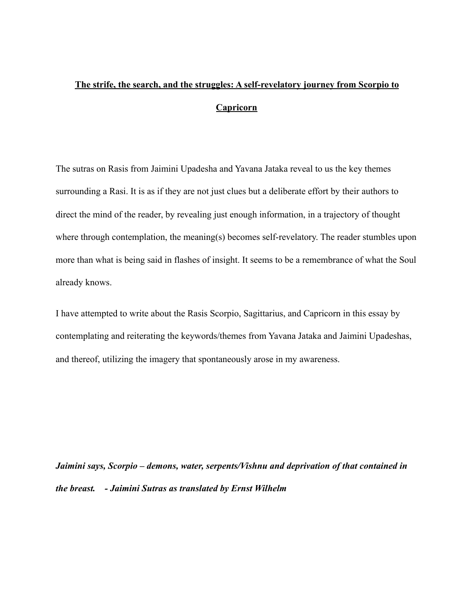## **The strife, the search, and the struggles: A self-revelatory journey from Scorpio to Capricorn**

The sutras on Rasis from Jaimini Upadesha and Yavana Jataka reveal to us the key themes surrounding a Rasi. It is as if they are not just clues but a deliberate effort by their authors to direct the mind of the reader, by revealing just enough information, in a trajectory of thought where through contemplation, the meaning(s) becomes self-revelatory. The reader stumbles upon more than what is being said in flashes of insight. It seems to be a remembrance of what the Soul already knows.

I have attempted to write about the Rasis Scorpio, Sagittarius, and Capricorn in this essay by contemplating and reiterating the keywords/themes from Yavana Jataka and Jaimini Upadeshas, and thereof, utilizing the imagery that spontaneously arose in my awareness.

*Jaimini says, Scorpio – demons, water, serpents/Vishnu and deprivation of that contained in the breast. - Jaimini Sutras as translated by Ernst Wilhelm*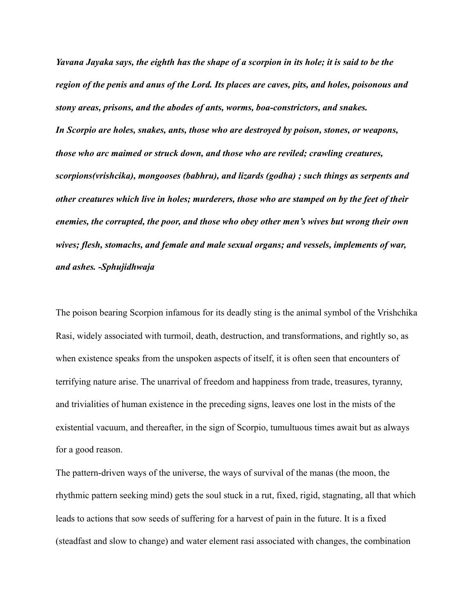*Yavana Jayaka says, the eighth has the shape of a scorpion in its hole; it is said to be the region of the penis and anus of the Lord. Its places are caves, pits, and holes, poisonous and stony areas, prisons, and the abodes of ants, worms, boa-constrictors, and snakes. In Scorpio are holes, snakes, ants, those who are destroyed by poison, stones, or weapons, those who arc maimed or struck down, and those who are reviled; crawling creatures, scorpions(vrishcika), mongooses (babhru), and lizards (godha) ; such things as serpents and other creatures which live in holes; murderers, those who are stamped on by the feet of their enemies, the corrupted, the poor, and those who obey other men's wives but wrong their own wives; flesh, stomachs, and female and male sexual organs; and vessels, implements of war, and ashes. -Sphujidhwaja*

The poison bearing Scorpion infamous for its deadly sting is the animal symbol of the Vrishchika Rasi, widely associated with turmoil, death, destruction, and transformations, and rightly so, as when existence speaks from the unspoken aspects of itself, it is often seen that encounters of terrifying nature arise. The unarrival of freedom and happiness from trade, treasures, tyranny, and trivialities of human existence in the preceding signs, leaves one lost in the mists of the existential vacuum, and thereafter, in the sign of Scorpio, tumultuous times await but as always for a good reason.

The pattern-driven ways of the universe, the ways of survival of the manas (the moon, the rhythmic pattern seeking mind) gets the soul stuck in a rut, fixed, rigid, stagnating, all that which leads to actions that sow seeds of suffering for a harvest of pain in the future. It is a fixed (steadfast and slow to change) and water element rasi associated with changes, the combination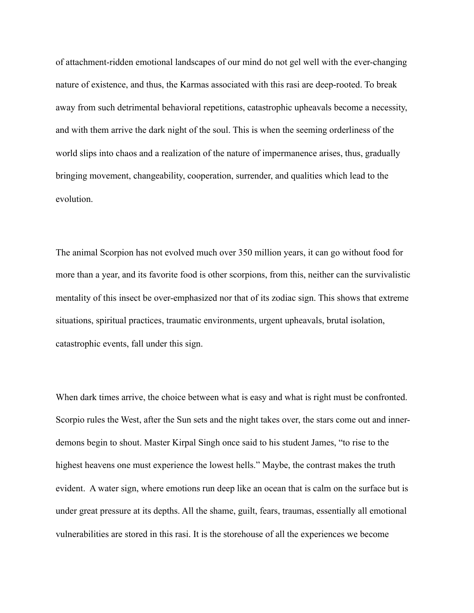of attachment-ridden emotional landscapes of our mind do not gel well with the ever-changing nature of existence, and thus, the Karmas associated with this rasi are deep-rooted. To break away from such detrimental behavioral repetitions, catastrophic upheavals become a necessity, and with them arrive the dark night of the soul. This is when the seeming orderliness of the world slips into chaos and a realization of the nature of impermanence arises, thus, gradually bringing movement, changeability, cooperation, surrender, and qualities which lead to the evolution.

The animal Scorpion has not evolved much over 350 million years, it can go without food for more than a year, and its favorite food is other scorpions, from this, neither can the survivalistic mentality of this insect be over-emphasized nor that of its zodiac sign. This shows that extreme situations, spiritual practices, traumatic environments, urgent upheavals, brutal isolation, catastrophic events, fall under this sign.

When dark times arrive, the choice between what is easy and what is right must be confronted. Scorpio rules the West, after the Sun sets and the night takes over, the stars come out and innerdemons begin to shout. Master Kirpal Singh once said to his student James, "to rise to the highest heavens one must experience the lowest hells." Maybe, the contrast makes the truth evident. A water sign, where emotions run deep like an ocean that is calm on the surface but is under great pressure at its depths. All the shame, guilt, fears, traumas, essentially all emotional vulnerabilities are stored in this rasi. It is the storehouse of all the experiences we become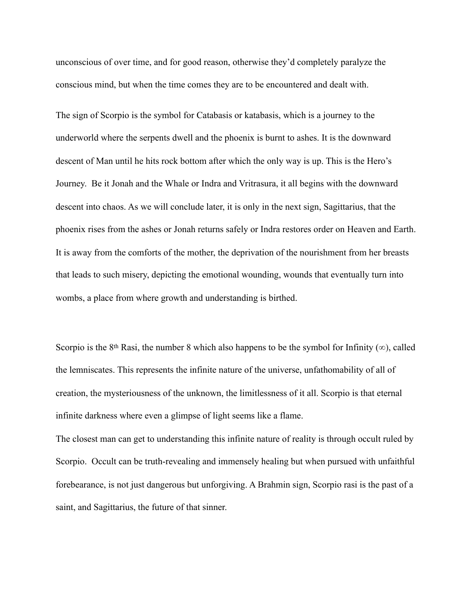unconscious of over time, and for good reason, otherwise they'd completely paralyze the conscious mind, but when the time comes they are to be encountered and dealt with.

The sign of Scorpio is the symbol for Catabasis or katabasis, which is a journey to the underworld where the serpents dwell and the phoenix is burnt to ashes. It is the downward descent of Man until he hits rock bottom after which the only way is up. This is the Hero's Journey. Be it Jonah and the Whale or Indra and Vritrasura, it all begins with the downward descent into chaos. As we will conclude later, it is only in the next sign, Sagittarius, that the phoenix rises from the ashes or Jonah returns safely or Indra restores order on Heaven and Earth. It is away from the comforts of the mother, the deprivation of the nourishment from her breasts that leads to such misery, depicting the emotional wounding, wounds that eventually turn into wombs, a place from where growth and understanding is birthed.

Scorpio is the 8<sup>th</sup> Rasi, the number 8 which also happens to be the symbol for Infinity (∞), called the lemniscates. This represents the infinite nature of the universe, unfathomability of all of creation, the mysteriousness of the unknown, the limitlessness of it all. Scorpio is that eternal infinite darkness where even a glimpse of light seems like a flame.

The closest man can get to understanding this infinite nature of reality is through occult ruled by Scorpio. Occult can be truth-revealing and immensely healing but when pursued with unfaithful forebearance, is not just dangerous but unforgiving. A Brahmin sign, Scorpio rasi is the past of a saint, and Sagittarius, the future of that sinner.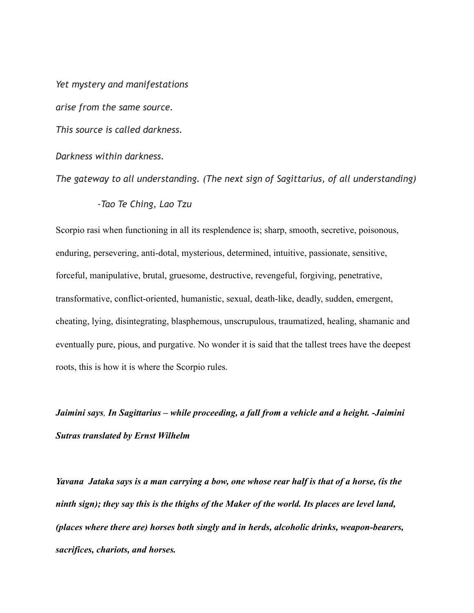*Yet mystery and manifestations arise from the same source. This source is called darkness.*

*Darkness within darkness.*

*The gateway to all understanding. (The next sign of Sagittarius, of all understanding)* 

*-Tao Te Ching, Lao Tzu*

Scorpio rasi when functioning in all its resplendence is; sharp, smooth, secretive, poisonous, enduring, persevering, anti-dotal, mysterious, determined, intuitive, passionate, sensitive, forceful, manipulative, brutal, gruesome, destructive, revengeful, forgiving, penetrative, transformative, conflict-oriented, humanistic, sexual, death-like, deadly, sudden, emergent, cheating, lying, disintegrating, blasphemous, unscrupulous, traumatized, healing, shamanic and eventually pure, pious, and purgative. No wonder it is said that the tallest trees have the deepest roots, this is how it is where the Scorpio rules.

*Jaimini says, In Sagittarius – while proceeding, a fall from a vehicle and a height. -Jaimini Sutras translated by Ernst Wilhelm*

*Yavana Jataka says is a man carrying a bow, one whose rear half is that of a horse, (is the ninth sign); they say this is the thighs of the Maker of the world. Its places are level land, (places where there are) horses both singly and in herds, alcoholic drinks, weapon-bearers, sacrifices, chariots, and horses.*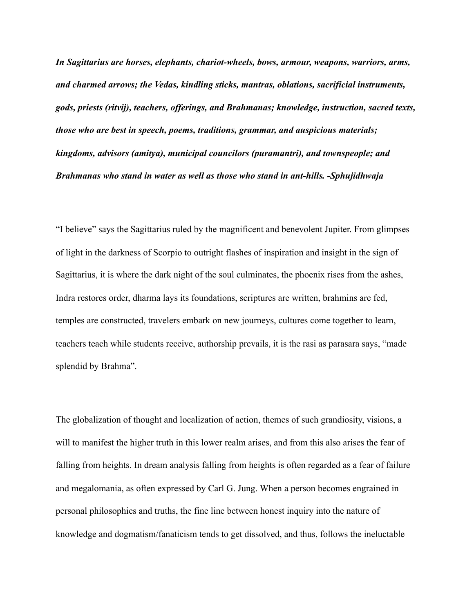*In Sagittarius are horses, elephants, chariot-wheels, bows, armour, weapons, warriors, arms, and charmed arrows; the Vedas, kindling sticks, mantras, oblations, sacrificial instruments, gods, priests (ritvij), teachers, offerings, and Brahmanas; knowledge, instruction, sacred texts, those who are best in speech, poems, traditions, grammar, and auspicious materials; kingdoms, advisors (amitya), municipal councilors (puramantri), and townspeople; and Brahmanas who stand in water as well as those who stand in ant-hills. -Sphujidhwaja*

"I believe" says the Sagittarius ruled by the magnificent and benevolent Jupiter. From glimpses of light in the darkness of Scorpio to outright flashes of inspiration and insight in the sign of Sagittarius, it is where the dark night of the soul culminates, the phoenix rises from the ashes, Indra restores order, dharma lays its foundations, scriptures are written, brahmins are fed, temples are constructed, travelers embark on new journeys, cultures come together to learn, teachers teach while students receive, authorship prevails, it is the rasi as parasara says, "made splendid by Brahma".

The globalization of thought and localization of action, themes of such grandiosity, visions, a will to manifest the higher truth in this lower realm arises, and from this also arises the fear of falling from heights. In dream analysis falling from heights is often regarded as a fear of failure and megalomania, as often expressed by Carl G. Jung. When a person becomes engrained in personal philosophies and truths, the fine line between honest inquiry into the nature of knowledge and dogmatism/fanaticism tends to get dissolved, and thus, follows the ineluctable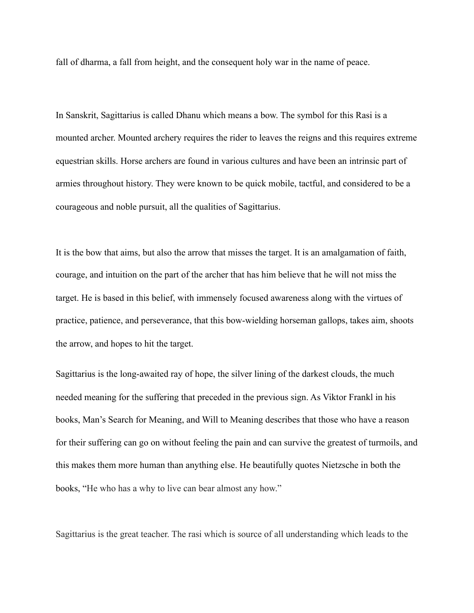fall of dharma, a fall from height, and the consequent holy war in the name of peace.

In Sanskrit, Sagittarius is called Dhanu which means a bow. The symbol for this Rasi is a mounted archer. Mounted archery requires the rider to leaves the reigns and this requires extreme equestrian skills. Horse archers are found in various cultures and have been an intrinsic part of armies throughout history. They were known to be quick mobile, tactful, and considered to be a courageous and noble pursuit, all the qualities of Sagittarius.

It is the bow that aims, but also the arrow that misses the target. It is an amalgamation of faith, courage, and intuition on the part of the archer that has him believe that he will not miss the target. He is based in this belief, with immensely focused awareness along with the virtues of practice, patience, and perseverance, that this bow-wielding horseman gallops, takes aim, shoots the arrow, and hopes to hit the target.

Sagittarius is the long-awaited ray of hope, the silver lining of the darkest clouds, the much needed meaning for the suffering that preceded in the previous sign. As Viktor Frankl in his books, Man's Search for Meaning, and Will to Meaning describes that those who have a reason for their suffering can go on without feeling the pain and can survive the greatest of turmoils, and this makes them more human than anything else. He beautifully quotes Nietzsche in both the books, "He who has a why to live can bear almost any how."

Sagittarius is the great teacher. The rasi which is source of all understanding which leads to the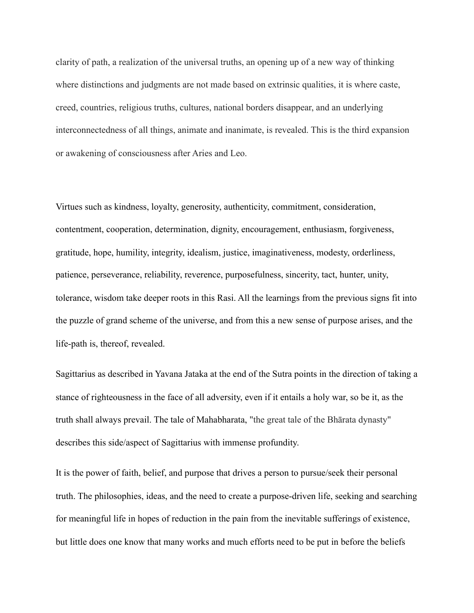clarity of path, a realization of the universal truths, an opening up of a new way of thinking where distinctions and judgments are not made based on extrinsic qualities, it is where caste, creed, countries, religious truths, cultures, national borders disappear, and an underlying interconnectedness of all things, animate and inanimate, is revealed. This is the third expansion or awakening of consciousness after Aries and Leo.

Virtues such as kindness, loyalty, generosity, authenticity, commitment, consideration, contentment, cooperation, determination, dignity, encouragement, enthusiasm, forgiveness, gratitude, hope, humility, integrity, idealism, justice, imaginativeness, modesty, orderliness, patience, perseverance, reliability, reverence, purposefulness, sincerity, tact, hunter, unity, tolerance, wisdom take deeper roots in this Rasi. All the learnings from the previous signs fit into the puzzle of grand scheme of the universe, and from this a new sense of purpose arises, and the life-path is, thereof, revealed.

Sagittarius as described in Yavana Jataka at the end of the Sutra points in the direction of taking a stance of righteousness in the face of all adversity, even if it entails a holy war, so be it, as the truth shall always prevail. The tale of Mahabharata, "the great tale of the Bhārata dynasty" describes this side/aspect of Sagittarius with immense profundity.

It is the power of faith, belief, and purpose that drives a person to pursue/seek their personal truth. The philosophies, ideas, and the need to create a purpose-driven life, seeking and searching for meaningful life in hopes of reduction in the pain from the inevitable sufferings of existence, but little does one know that many works and much efforts need to be put in before the beliefs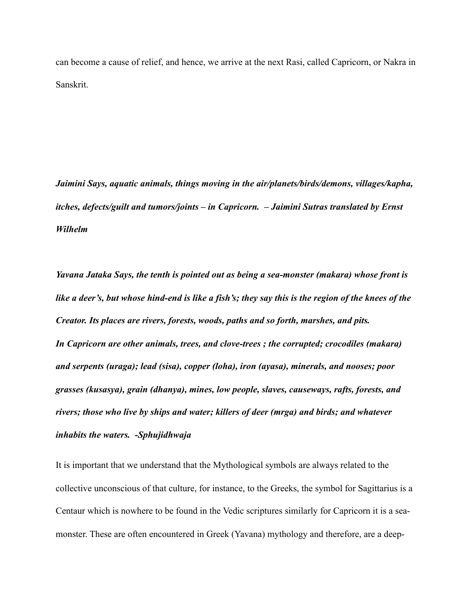can become a cause of relief, and hence, we arrive at the next Rasi, called Capricorn, or Nakra in Sanskrit.

*Jaimini Says, aquatic animals, things moving in the air/planets/birds/demons, villages/kapha, itches, defects/guilt and tumors/joints – in Capricorn. – Jaimini Sutras translated by Ernst Wilhelm*

*Yavana Jataka Says, the tenth is pointed out as being a sea-monster (makara) whose front is like a deer's, but whose hind-end is like a fish's; they say this is the region of the knees of the Creator. Its places are rivers, forests, woods, paths and so forth, marshes, and pits. In Capricorn are other animals, trees, and clove-trees ; the corrupted; crocodiles (makara) and serpents (uraga); lead (sisa), copper (loha), iron (ayasa), minerals, and nooses; poor grasses (kusasya), grain (dhanya), mines, low people, slaves, causeways, rafts, forests, and rivers; those who live by ships and water; killers of deer (mrga) and birds; and whatever inhabits the waters. -Sphujidhwaja* 

It is important that we understand that the Mythological symbols are always related to the collective unconscious of that culture, for instance, to the Greeks, the symbol for Sagittarius is a Centaur which is nowhere to be found in the Vedic scriptures similarly for Capricorn it is a seamonster. These are often encountered in Greek (Yavana) mythology and therefore, are a deep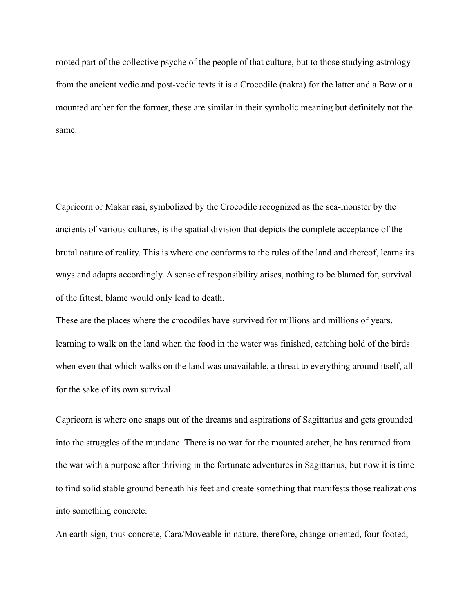rooted part of the collective psyche of the people of that culture, but to those studying astrology from the ancient vedic and post-vedic texts it is a Crocodile (nakra) for the latter and a Bow or a mounted archer for the former, these are similar in their symbolic meaning but definitely not the same.

Capricorn or Makar rasi, symbolized by the Crocodile recognized as the sea-monster by the ancients of various cultures, is the spatial division that depicts the complete acceptance of the brutal nature of reality. This is where one conforms to the rules of the land and thereof, learns its ways and adapts accordingly. A sense of responsibility arises, nothing to be blamed for, survival of the fittest, blame would only lead to death.

These are the places where the crocodiles have survived for millions and millions of years, learning to walk on the land when the food in the water was finished, catching hold of the birds when even that which walks on the land was unavailable, a threat to everything around itself, all for the sake of its own survival.

Capricorn is where one snaps out of the dreams and aspirations of Sagittarius and gets grounded into the struggles of the mundane. There is no war for the mounted archer, he has returned from the war with a purpose after thriving in the fortunate adventures in Sagittarius, but now it is time to find solid stable ground beneath his feet and create something that manifests those realizations into something concrete.

An earth sign, thus concrete, Cara/Moveable in nature, therefore, change-oriented, four-footed,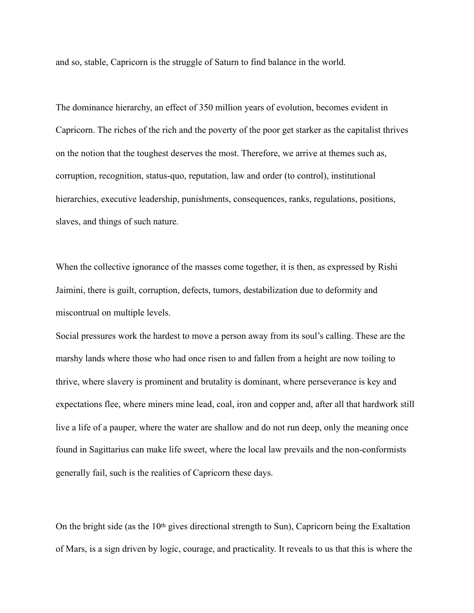and so, stable, Capricorn is the struggle of Saturn to find balance in the world.

The dominance hierarchy, an effect of 350 million years of evolution, becomes evident in Capricorn. The riches of the rich and the poverty of the poor get starker as the capitalist thrives on the notion that the toughest deserves the most. Therefore, we arrive at themes such as, corruption, recognition, status-quo, reputation, law and order (to control), institutional hierarchies, executive leadership, punishments, consequences, ranks, regulations, positions, slaves, and things of such nature.

When the collective ignorance of the masses come together, it is then, as expressed by Rishi Jaimini, there is guilt, corruption, defects, tumors, destabilization due to deformity and miscontrual on multiple levels.

Social pressures work the hardest to move a person away from its soul's calling. These are the marshy lands where those who had once risen to and fallen from a height are now toiling to thrive, where slavery is prominent and brutality is dominant, where perseverance is key and expectations flee, where miners mine lead, coal, iron and copper and, after all that hardwork still live a life of a pauper, where the water are shallow and do not run deep, only the meaning once found in Sagittarius can make life sweet, where the local law prevails and the non-conformists generally fail, such is the realities of Capricorn these days.

On the bright side (as the 10th gives directional strength to Sun), Capricorn being the Exaltation of Mars, is a sign driven by logic, courage, and practicality. It reveals to us that this is where the